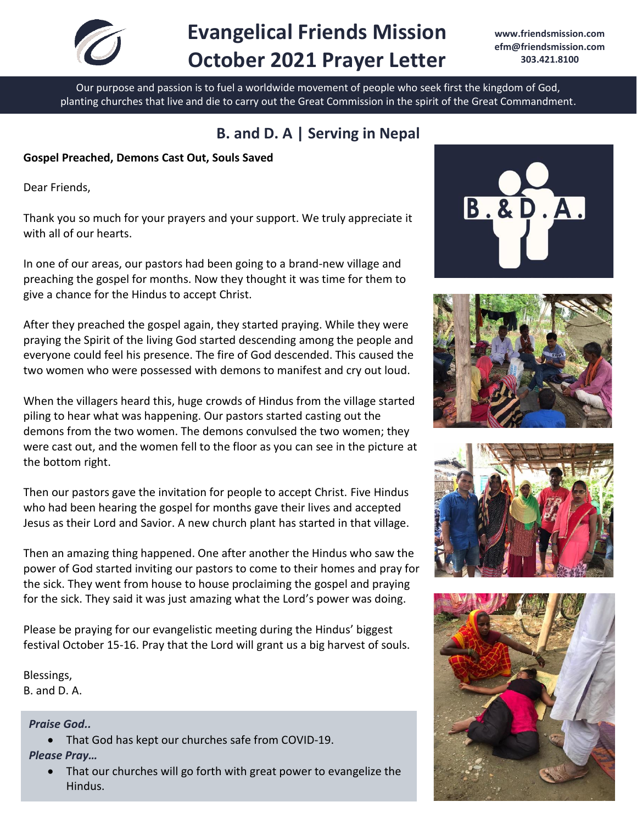

# **Evangelical Friends Mission October 2021 Prayer Letter**

**[www.friendsmission.com](http://www.friendsmission.com/) [efm@friendsmission.com](mailto:efm@friendsmission.com) 303.421.8100** 

Our purpose and passion is to fuel a worldwide movement of people who seek first the kingdom of God, planting churches that live and die to carry out the Great Commission in the spirit of the Great Commandment.

# **B. and D. A | Serving in Nepal**

**Gospel Preached, Demons Cast Out, Souls Saved**

Dear Friends,

Thank you so much for your prayers and your support. We truly appreciate it with all of our hearts.

In one of our areas, our pastors had been going to a brand-new village and preaching the gospel for months. Now they thought it was time for them to give a chance for the Hindus to accept Christ.

After they preached the gospel again, they started praying. While they were praying the Spirit of the living God started descending among the people and everyone could feel his presence. The fire of God descended. This caused the two women who were possessed with demons to manifest and cry out loud.

When the villagers heard this, huge crowds of Hindus from the village started piling to hear what was happening. Our pastors started casting out the demons from the two women. The demons convulsed the two women; they were cast out, and the women fell to the floor as you can see in the picture at the bottom right.

Then our pastors gave the invitation for people to accept Christ. Five Hindus who had been hearing the gospel for months gave their lives and accepted Jesus as their Lord and Savior. A new church plant has started in that village.

Then an amazing thing happened. One after another the Hindus who saw the power of God started inviting our pastors to come to their homes and pray for the sick. They went from house to house proclaiming the gospel and praying for the sick. They said it was just amazing what the Lord's power was doing.

Please be praying for our evangelistic meeting during the Hindus' biggest festival October 15-16. Pray that the Lord will grant us a big harvest of souls.

Blessings, B. and D. A.

*Praise God..*

• That God has kept our churches safe from COVID-19.

*Please Pray…*

• That our churches will go forth with great power to evangelize the Hindus.







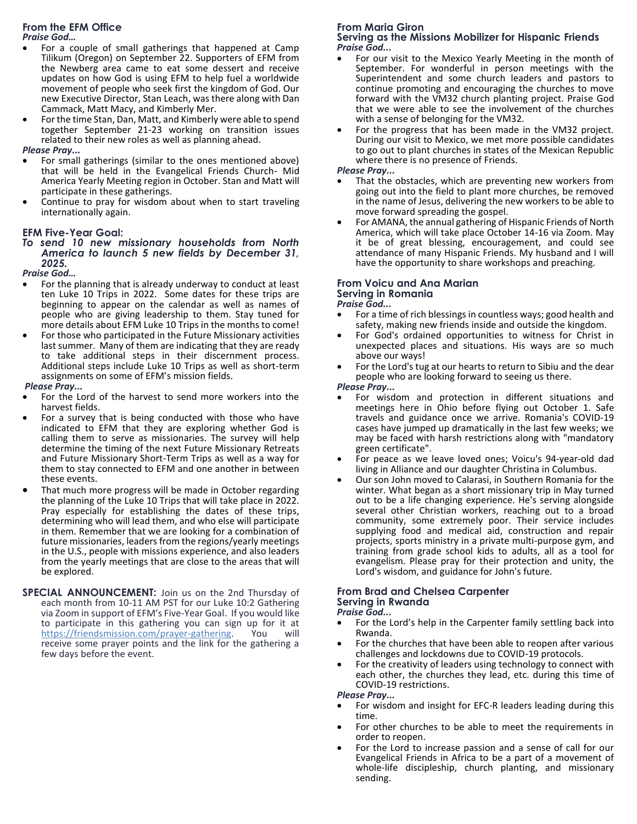# **From the EFM Office**

*Praise God…*

- For a couple of small gatherings that happened at Camp Tilikum (Oregon) on September 22. Supporters of EFM from the Newberg area came to eat some dessert and receive updates on how God is using EFM to help fuel a worldwide movement of people who seek first the kingdom of God. Our new Executive Director, Stan Leach, was there along with Dan Cammack, Matt Macy, and Kimberly Mer.
- For the time Stan, Dan, Matt, and Kimberly were able to spend together September 21-23 working on transition issues related to their new roles as well as planning ahead.

#### *Please Pray...*

- For small gatherings (similar to the ones mentioned above) that will be held in the Evangelical Friends Church- Mid America Yearly Meeting region in October. Stan and Matt will participate in these gatherings.
- Continue to pray for wisdom about when to start traveling internationally again.

#### **EFM Five-Year Goal:**

*To send 10 new missionary households from North America to launch 5 new fields by December 31, 2025.*

*Praise God…*

- For the planning that is already underway to conduct at least ten Luke 10 Trips in 2022. Some dates for these trips are beginning to appear on the calendar as well as names of people who are giving leadership to them. Stay tuned for more details about EFM Luke 10 Trips in the months to come!
- For those who participated in the Future Missionary activities last summer. Many of them are indicating that they are ready to take additional steps in their discernment process. Additional steps include Luke 10 Trips as well as short-term assignments on some of EFM's mission fields.

#### *Please Pray...*

- For the Lord of the harvest to send more workers into the harvest fields.
- For a survey that is being conducted with those who have indicated to EFM that they are exploring whether God is calling them to serve as missionaries. The survey will help determine the timing of the next Future Missionary Retreats and Future Missionary Short-Term Trips as well as a way for them to stay connected to EFM and one another in between these events.
- That much more progress will be made in October regarding the planning of the Luke 10 Trips that will take place in 2022. Pray especially for establishing the dates of these trips, determining who will lead them, and who else will participate in them. Remember that we are looking for a combination of future missionaries, leaders from the regions/yearly meetings in the U.S., people with missions experience, and also leaders from the yearly meetings that are close to the areas that will be explored.
- **SPECIAL ANNOUNCEMENT:** Join us on the 2nd Thursday of each month from 10-11 AM PST for our Luke 10:2 Gathering via Zoom in support of EFM's Five-Year Goal. If you would like to participate in this gathering you can sign up for it at https://friendsmission.com/prayer-gathering. You will [https://friendsmission.com/prayer-gathering.](https://friendsmission.com/prayer-gathering) You will receive some prayer points and the link for the gathering a few days before the event.

### **From Maria Giron**

#### **Serving as the Missions Mobilizer for Hispanic Friends** *Praise God...*

- For our visit to the Mexico Yearly Meeting in the month of September. For wonderful in person meetings with the Superintendent and some church leaders and pastors to continue promoting and encouraging the churches to move forward with the VM32 church planting project. Praise God that we were able to see the involvement of the churches with a sense of belonging for the VM32.
- For the progress that has been made in the VM32 project. During our visit to Mexico, we met more possible candidates to go out to plant churches in states of the Mexican Republic where there is no presence of Friends.

*Please Pray...*

- That the obstacles, which are preventing new workers from going out into the field to plant more churches, be removed in the name of Jesus, delivering the new workers to be able to move forward spreading the gospel.
- For AMANA, the annual gathering of Hispanic Friends of North America, which will take place October 14-16 via Zoom. May it be of great blessing, encouragement, and could see attendance of many Hispanic Friends. My husband and I will have the opportunity to share workshops and preaching.

## **From Voicu and Ana Marian Serving in Romania**

*Praise God...*

- For a time of rich blessings in countless ways; good health and safety, making new friends inside and outside the kingdom.
- For God's ordained opportunities to witness for Christ in unexpected places and situations. His ways are so much above our ways!
- For the Lord's tug at our hearts to return to Sibiu and the dear people who are looking forward to seeing us there.

#### *Please Pray...*

- For wisdom and protection in different situations and meetings here in Ohio before flying out October 1. Safe travels and guidance once we arrive. Romania's COVID-19 cases have jumped up dramatically in the last few weeks; we may be faced with harsh restrictions along with "mandatory green certificate".
- For peace as we leave loved ones; Voicu's 94-year-old dad living in Alliance and our daughter Christina in Columbus.
- Our son John moved to Calarasi, in Southern Romania for the winter. What began as a short missionary trip in May turned out to be a life changing experience. He's serving alongside several other Christian workers, reaching out to a broad community, some extremely poor. Their service includes supplying food and medical aid, construction and repair projects, sports ministry in a private multi-purpose gym, and training from grade school kids to adults, all as a tool for evangelism. Please pray for their protection and unity, the Lord's wisdom, and guidance for John's future.

#### **From Brad and Chelsea Carpenter Serving in Rwanda** *Praise God...*

- For the Lord's help in the Carpenter family settling back into Rwanda.
- For the churches that have been able to reopen after various challenges and lockdowns due to COVID-19 protocols.
- For the creativity of leaders using technology to connect with each other, the churches they lead, etc. during this time of COVID-19 restrictions.

*Please Pray...*

- For wisdom and insight for EFC-R leaders leading during this time.
- For other churches to be able to meet the requirements in order to reopen.
- For the Lord to increase passion and a sense of call for our Evangelical Friends in Africa to be a part of a movement of whole-life discipleship, church planting, and missionary sending.